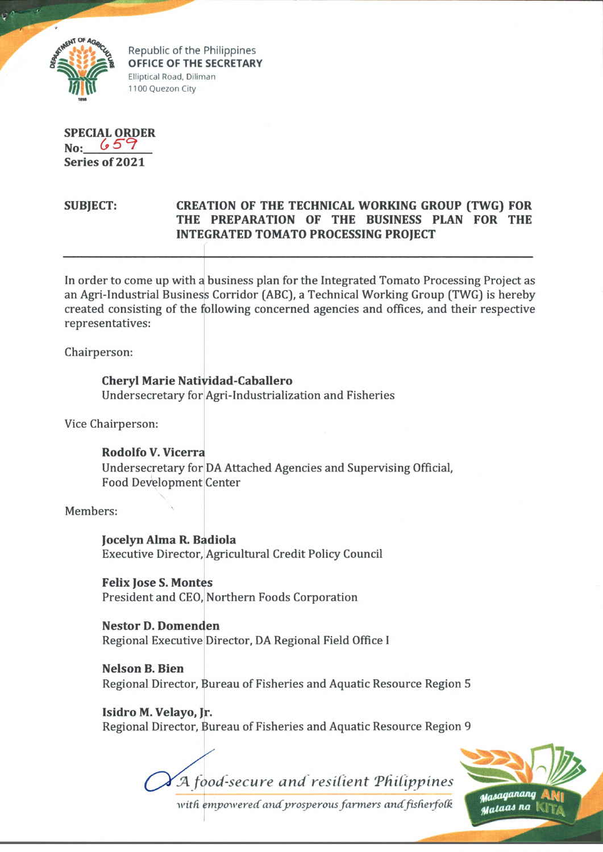

< Republic of the Philippines **IOFFICE OF THE SECRETARY f U l 1100 Quezon City Elliptical Road, Diliman**

**SPECIAL ORDER No:** *0* **Series of 2021**

# **SUBJECT: CREATION OF THE TECHNICAL WORKING GROUP (TWG) FOR THE PREPARATION OF THE BUSINESS PLAN FOR THE INTEGRATED TOMATO PROCESSING PROJECT**

In order to come up with a business plan for the Integrated Tomato Processing Project as an Agri-Industrial Business Corridor (ABC), a Technical Working Group (TWG) is hereby created consisting of the following concerned agencies and offices, and their respective representatives:

Chairperson:

## **Cheryl Marie Natividad-Caballero**

Undersecretary for Agri-Industrialization and Fisheries

Vice Chairperson:

**Rodolfo V. Vicerra** Undersecretary for DA Attached Agencies and Supervising Official, Food Development Center

### Members:

**Jocelyn Alma R. Badiola** Executive Director, Agricultural Credit Policy Council

**Felix Jose S. Montes** President and CEO, Northern Foods Corporation

**Nestor D. Domenden** Regional Executive Director, DA Regional Field Office I

**Nelson B. Bien** Regional Director, Bureau of Fisheries and Aquatic Resource Region 5

**Isidro M. Velayo, Jr.** Regional Director, Bureau of Fisheries and Aquatic Resource Region 9

*JA food-secure and resilient 'Philippines*



with empowered and prosperous farmers and fisherfolk